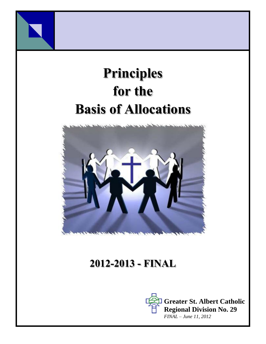

# **Principles for the Basis of Allocations**



# **2012-2013 - FINAL**

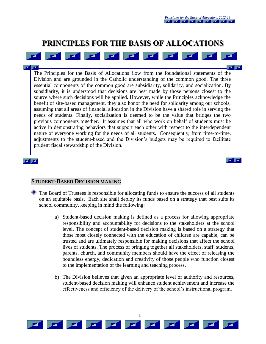$\mathbf{Z}$ 

### **PRINCIPLES FOR THE BASIS OF ALLOCATIONS**

 $\blacktriangleright$ 

 $\blacktriangleright$ 

 $\blacktriangleright$ 



 $\mathbf{Z}$ The Principles for the Basis of Allocations flow from the foundational statements of the Division and are grounded in the Catholic understanding of the common good. The three essential components of the common good are subsidiarity, solidarity, and socialization. By subsidiarity, it is understood that decisions are best made by those persons closest to the source where such decisions will be applied. However, while the Principles acknowledge the benefit of site-based management, they also honor the need for solidarity among our schools, assuming that all areas of financial allocation in the Division have a shared role in serving the needs of students. Finally, socialization is deemed to be the value that bridges the two previous components together. It assumes that all who work on behalf of students must be active in demonstrating behaviors that support each other with respect to the interdependent nature of everyone working for the needs of all students. Consequently, from time-to-time, adjustments to the student-based and the Division's budgets may be required to facilitate prudent fiscal stewardship of the Division.

#### $\blacksquare$

#### **STUDENT-BASED DECISION MAKING**

 $\blacksquare$ 

 $\overline{\phantom{a}}$ 

 $\blacksquare$ 

- The Board of Trustees is responsible for allocating funds to ensure the success of all students on an equitable basis. Each site shall deploy its funds based on a strategy that best suits its school community, keeping in mind the following:
	- a) Student-based decision making is defined as a process for allowing appropriate responsibility and accountability for decisions to the stakeholders at the school level. The concept of student-based decision making is based on a strategy that those most closely connected with the education of children are capable, can be trusted and are ultimately responsible for making decisions that affect the school lives of students. The process of bringing together all stakeholders, staff, students, parents, church, and community members should have the effect of releasing the boundless energy, dedication and creativity of those people who function closest to the implementation of the learning and teaching process.
	- b) The Division believes that given an appropriate level of authority and resources, student-based decision making will enhance student achievement and increase the effectiveness and efficiency of the delivery of the school's instructional program.

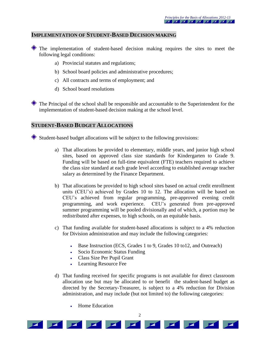#### **IMPLEMENTATION OF STUDENT-BASED DECISION MAKING**

- The implementation of student-based decision making requires the sites to meet the following legal conditions:
	- a) Provincial statutes and regulations;
	- b) School board policies and administrative procedures;
	- c) All contracts and terms of employment; and
	- d) School board resolutions

The Principal of the school shall be responsible and accountable to the Superintendent for the implementation of student-based decision making at the school level.

#### **STUDENT-BASED BUDGET ALLOCATIONS**

Student-based budget allocations will be subject to the following provisions:

- a) That allocations be provided to elementary, middle years, and junior high school sites, based on approved class size standards for Kindergarten to Grade 9. Funding will be based on full-time equivalent (FTE) teachers required to achieve the class size standard at each grade level according to established average teacher salary as determined by the Finance Department.
- b) That allocations be provided to high school sites based on actual credit enrollment units (CEU's) achieved by Grades 10 to 12. The allocation will be based on CEU's achieved from regular programming, pre-approved evening credit programming, and work experience. CEU's generated from pre-approved summer programming will be pooled divisionally and of which, a portion may be redistributed after expenses, to high schools, on an equitable basis.
- c) That funding available for student-based allocations is subject to a 4% reduction for Division administration and may include the following categories:
	- Base Instruction (ECS, Grades 1 to 9, Grades 10 to12, and Outreach)
	- Socio Economic Status Funding
	- Class Size Per Pupil Grant
	- Learning Resource Fee
- d) That funding received for specific programs is not available for direct classroom allocation use but may be allocated to or benefit the student-based budget as directed by the Secretary-Treasurer, is subject to a 4% reduction for Division administration, and may include (but not limited to) the following categories:
	- Home Education

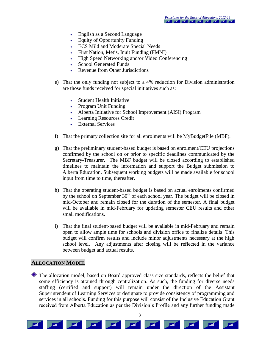- English as a Second Language
- Equity of Opportunity Funding
- ECS Mild and Moderate Special Needs
- First Nation, Metis, Inuit Funding (FMNI)
- High Speed Networking and/or Video Conferencing
- School Generated Funds
- Revenue from Other Jurisdictions
- e) That the only funding not subject to a 4% reduction for Division administration are those funds received for special initiatives such as:
	- Student Health Initiative
	- Program Unit Funding
	- Alberta Initiative for School Improvement (AISI) Program
	- Learning Resources Credit
	- External Services
- f) That the primary collection site for all enrolments will be MyBudgetFile (MBF).
- g) That the preliminary student-based budget is based on enrolment/CEU projections confirmed by the school on or prior to specific deadlines communicated by the Secretary-Treasurer. The MBF budget will be closed according to established timelines to maintain the information and support the Budget submission to Alberta Education. Subsequent working budgets will be made available for school input from time to time, thereafter.
- h) That the operating student-based budget is based on actual enrolments confirmed by the school on September  $30<sup>th</sup>$  of each school year. The budget will be closed in mid-October and remain closed for the duration of the semester. A final budget will be available in mid-February for updating semester CEU results and other small modifications.
- i) That the final student-based budget will be available in mid-February and remain open to allow ample time for schools and division office to finalize details. This budget will confirm results and include minor adjustments necessary at the high school level. Any adjustments after closing will be reflected in the variance between budget and actual results.

#### **ALLOCATION MODEL**

The allocation model, based on Board approved class size standards, reflects the belief that some efficiency is attained through centralization. As such, the funding for diverse needs staffing (certified and support) will remain under the direction of the Assistant Superintendent of Learning Services or designate to provide consistency of programming and services in all schools. Funding for this purpose will consist of the Inclusive Education Grant received from Alberta Education as per the Division's Profile and any further funding made



3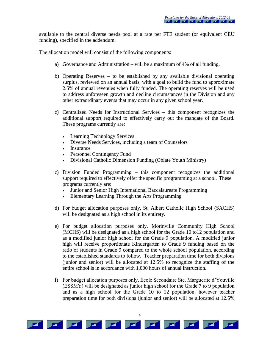available to the central diverse needs pool at a rate per FTE student (or equivalent CEU funding), specified in the addendum.

The allocation model will consist of the following components:

- a) Governance and Administration will be a maximum of 4% of all funding.
- b) Operating Reserves to be established by any available divisional operating surplus, reviewed on an annual basis, with a goal to build the fund to approximate 2.5% of annual revenues when fully funded. The operating reserves will be used to address unforeseen growth and decline circumstances in the Division and any other extraordinary events that may occur in any given school year.
- c) Centralized Needs for Instructional Services this component recognizes the additional support required to effectively carry out the mandate of the Board. These programs currently are:
	- Learning Technology Services
	- Diverse Needs Services, including a team of Counselors
	- Insurance
	- Personnel Contingency Fund
	- Divisional Catholic Dimension Funding (Oblate Youth Ministry)
- c) Division Funded Programming this component recognizes the additional support required to effectively offer the specific programming at a school. These programs currently are:
	- Junior and Senior High International Baccalaureate Programming
	- Elementary Learning Through the Arts Programming
- d) For budget allocation purposes only, St. Albert Catholic High School (SACHS) will be designated as a high school in its entirety.
- e) For budget allocation purposes only, Morinville Community High School (MCHS) will be designated as a high school for the Grade 10 to12 population and as a modified junior high school for the Grade 9 population. A modified junior high will receive proportionate Kindergarten to Grade 9 funding based on the ratio of students in Grade 9 compared to the whole school population, according to the established standards to follow. Teacher preparation time for both divisions (junior and senior) will be allocated at 12.5% to recognize the staffing of the entire school is in accordance with 1,000 hours of annual instruction.
- f) For budget allocation purposes only, École Secondaire Ste. Marguerite d'Youville (ESSMY) will be designated as junior high school for the Grade 7 to 9 population and as a high school for the Grade 10 to 12 population, however teacher preparation time for both divisions (junior and senior) will be allocated at 12.5%

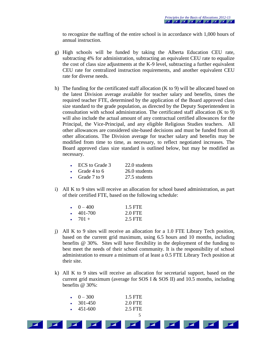to recognize the staffing of the entire school is in accordance with 1,000 hours of annual instruction.

- g) High schools will be funded by taking the Alberta Education CEU rate, subtracting 4% for administration, subtracting an equivalent CEU rate to equalize the cost of class size adjustments at the K-9 level, subtracting a further equivalent CEU rate for centralized instruction requirements, and another equivalent CEU rate for diverse needs.
- h) The funding for the certificated staff allocation (K to 9) will be allocated based on the latest Division average available for teacher salary and benefits, times the required teacher FTE, determined by the application of the Board approved class size standard to the grade population, as directed by the Deputy Superintendent in consultation with school administration. The certificated staff allocation (K to 9) will also include the actual amount of any contractual certified allowances for the Principal, the Vice-Principal, and any eligible Religious Studies teachers. All other allowances are considered site-based decisions and must be funded from all other allocations. The Division average for teacher salary and benefits may be modified from time to time, as necessary, to reflect negotiated increases. The Board approved class size standard is outlined below, but may be modified as necessary.

|           | ECS to Grade 3 | 22.0 students |
|-----------|----------------|---------------|
|           | • Grade 4 to 6 | 26.0 students |
| $\bullet$ | Grade 7 to 9   | 27.5 students |

i) All K to 9 sites will receive an allocation for school based administration, as part of their certified FTE, based on the following schedule:

| $\bullet$ 0 – 400 | 1.5 FTE |
|-------------------|---------|
| $\cdot$ 401-700   | 2.0 FTE |
| $\cdot$ 701 +     | 2.5 FTE |

- j) All K to 9 sites will receive an allocation for a 1.0 FTE Library Tech position, based on the current grid maximum, using 6.5 hours and 10 months, including benefits @ 30%. Sites will have flexibility in the deployment of the funding to best meet the needs of their school community. It is the responsibility of school administration to ensure a minimum of at least a 0.5 FTE Library Tech position at their site.
- k) All K to 9 sites will receive an allocation for secretarial support, based on the current grid maximum (average for SOS I & SOS II) and 10.5 months, including benefits @ 30%:

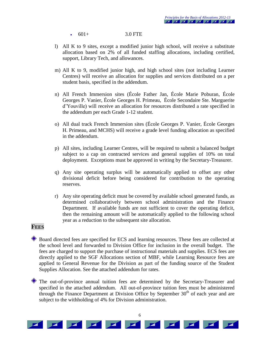601+ 3.0 FTE

- l) All K to 9 sites, except a modified junior high school, will receive a substitute allocation based on 2% of all funded staffing allocations, including certified, support, Library Tech, and allowances.
- m) All K to 9, modified junior high, and high school sites (not including Learner Centres) will receive an allocation for supplies and services distributed on a per student basis, specified in the addendum.
- n) All French Immersion sites (École Father Jan, École Marie Poburan, École Georges P. Vanier, École Georges H. Primeau, École Secondaire Ste. Marguerite d'Youville) will receive an allocation for resources distributed a rate specified in the addendum per each Grade 1-12 student.
- o) All dual track French Immersion sites (École Georges P. Vanier, École Georges H. Primeau, and MCHS) will receive a grade level funding allocation as specified in the addendum.
- p) All sites, including Learner Centres, will be required to submit a balanced budget subject to a cap on contracted services and general supplies of 10% on total deployment. Exceptions must be approved in writing by the Secretary-Treasurer.
- q) Any site operating surplus will be automatically applied to offset any other divisional deficit before being considered for contribution to the operating reserves.
- r) Any site operating deficit must be covered by available school generated funds, as determined collaboratively between school administration and the Finance Department. If available funds are not sufficient to cover the operating deficit, then the remaining amount will be automatically applied to the following school year as a reduction to the subsequent site allocation.

#### **FEES**

- Board directed fees are specified for ECS and learning resources. These fees are collected at the school level and forwarded to Division Office for inclusion in the overall budget. The fees are charged to support the purchase of instructional materials and supplies. ECS fees are directly applied to the SGF Allocations section of MBF, while Learning Resource fees are applied to General Revenue for the Division as part of the funding source of the Student Supplies Allocation. See the attached addendum for rates.
- The out-of-province annual tuition fees are determined by the Secretary-Treasurer and specified in the attached addendum. All out-of-province tuition fees must be administered through the Finance Department at Division Office by September 30<sup>th</sup> of each year and are subject to the withholding of 4% for Division administration.

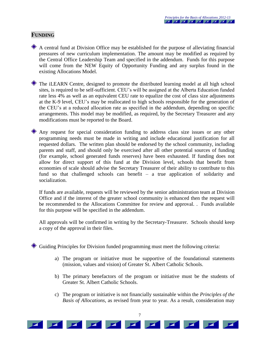#### **FUNDING**

A central fund at Division Office may be established for the purpose of alleviating financial pressures of new curriculum implementation. The amount may be modified as required by the Central Office Leadership Team and specified in the addendum. Funds for this purpose will come from the NEW Equity of Opportunity Funding and any surplus found in the existing Allocations Model.

The iLEARN Centre, designed to promote the distributed learning model at all high school sites, is required to be self-sufficient. CEU's will be assigned at the Alberta Education funded rate less 4% as well as an equivalent CEU rate to equalize the cost of class size adjustments at the K-9 level, CEU's may be reallocated to high schools responsible for the generation of the CEU's at a reduced allocation rate as specified in the addendum, depending on specific arrangements. This model may be modified, as required, by the Secretary Treasurer and any modifications must be reported to the Board.

Any request for special consideration funding to address class size issues or any other programming needs must be made in writing and include educational justification for all requested dollars. The written plan should be endorsed by the school community, including parents and staff, and should only be exercised after all other potential sources of funding (for example, school generated funds reserves) have been exhausted. If funding does not allow for direct support of this fund at the Division level, schools that benefit from economies of scale should advise the Secretary Treasurer of their ability to contribute to this fund so that challenged schools can benefit – a true application of solidarity and socialization.

If funds are available, requests will be reviewed by the senior administration team at Division Office and if the interest of the greater school community is enhanced then the request will be recommended to the Allocations Committee for review and approval. . Funds available for this purpose will be specified in the addendum.

All approvals will be confirmed in writing by the Secretary-Treasurer. Schools should keep a copy of the approval in their files.

Guiding Principles for Division funded programming must meet the following criteria:

- a) The program or initiative must be supportive of the foundational statements (mission, values and vision) of Greater St. Albert Catholic Schools.
- b) The primary benefactors of the program or initiative must be the students of Greater St. Albert Catholic Schools.
- c) The program or initiative is not financially sustainable within the *Principles of the Basis of Allocations*, as revised from year to year. As a result, consideration may

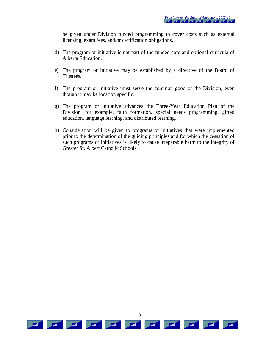be given under Division funded programming to cover costs such as external licensing, exam fees, and/or certification obligations.

- d) The program or initiative is not part of the funded core and optional curricula of Alberta Education.
- e) The program or initiative may be established by a directive of the Board of Trustees.
- f) The program or initiative must serve the common good of the Division, even though it may be location specific.
- g) The program or initiative advances the Three-Year Education Plan of the Division, for example, faith formation, special needs programming, gifted education, language learning, and distributed learning.
- h) Consideration will be given to programs or initiatives that were implemented prior to the determination of the guiding principles and for which the cessation of such programs or initiatives is likely to cause irreparable harm to the integrity of Greater St. Albert Catholic Schools.

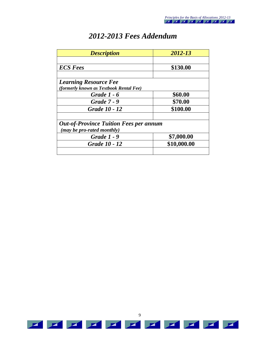|  | 2012-2013 Fees Addendum |
|--|-------------------------|
|--|-------------------------|

| <b>Description</b>                                                          | 2012-13     |
|-----------------------------------------------------------------------------|-------------|
|                                                                             |             |
| <b>ECS Fees</b>                                                             | \$130.00    |
| <b>Learning Resource Fee</b><br>(formerly known as Textbook Rental Fee)     |             |
| <b>Grade 1 - 6</b>                                                          | \$60.00     |
| <b>Grade 7 - 9</b>                                                          | \$70.00     |
| Grade 10 - 12                                                               | \$100.00    |
| <b>Out-of-Province Tuition Fees per annum</b><br>(may be pro-rated monthly) |             |
| <b>Grade 1 - 9</b>                                                          | \$7,000.00  |
| Grade 10 - 12                                                               | \$10,000.00 |
|                                                                             |             |